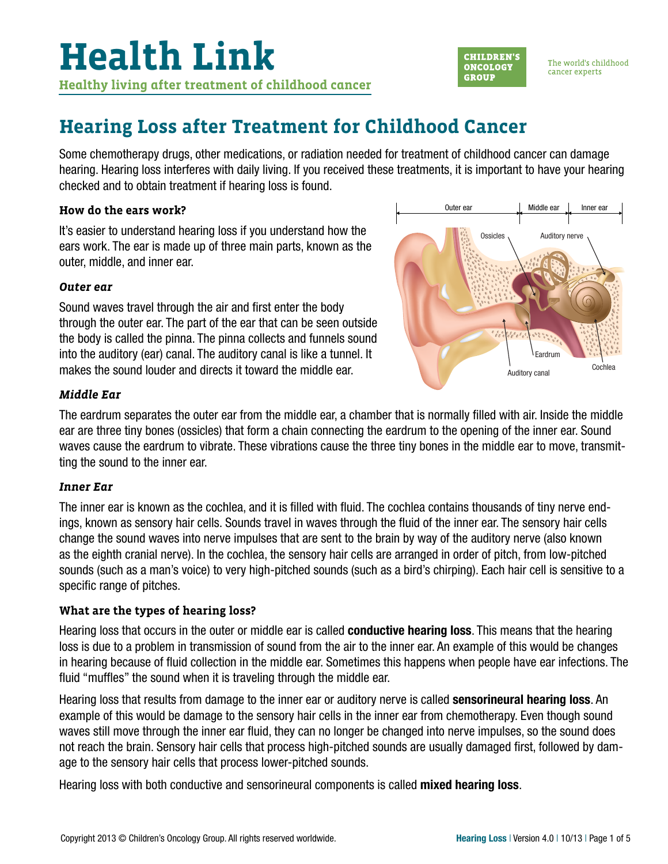

The world's childhood cancer experts

### **Hearing Loss after Treatment for Childhood Cancer**

Some chemotherapy drugs, other medications, or radiation needed for treatment of childhood cancer can damage hearing. Hearing loss interferes with daily living. If you received these treatments, it is important to have your hearing checked and to obtain treatment if hearing loss is found.

#### **How do the ears work?**

It's easier to understand hearing loss if you understand how the ears work. The ear is made up of three main parts, known as the outer, middle, and inner ear.

#### *Outer ear*

Sound waves travel through the air and first enter the body through the outer ear. The part of the ear that can be seen outside the body is called the pinna. The pinna collects and funnels sound into the auditory (ear) canal. The auditory canal is like a tunnel. It makes the sound louder and directs it toward the middle ear.



#### *Middle Ear*

The eardrum separates the outer ear from the middle ear, a chamber that is normally filled with air. Inside the middle ear are three tiny bones (ossicles) that form a chain connecting the eardrum to the opening of the inner ear. Sound waves cause the eardrum to vibrate. These vibrations cause the three tiny bones in the middle ear to move, transmitting the sound to the inner ear.

#### *Inner Ear*

The inner ear is known as the cochlea, and it is filled with fluid. The cochlea contains thousands of tiny nerve endings, known as sensory hair cells. Sounds travel in waves through the fluid of the inner ear. The sensory hair cells change the sound waves into nerve impulses that are sent to the brain by way of the auditory nerve (also known as the eighth cranial nerve). In the cochlea, the sensory hair cells are arranged in order of pitch, from low-pitched sounds (such as a man's voice) to very high-pitched sounds (such as a bird's chirping). Each hair cell is sensitive to a specific range of pitches.

#### **What are the types of hearing loss?**

Hearing loss that occurs in the outer or middle ear is called **conductive hearing loss**. This means that the hearing loss is due to a problem in transmission of sound from the air to the inner ear. An example of this would be changes in hearing because of fluid collection in the middle ear. Sometimes this happens when people have ear infections. The fluid "muffles" the sound when it is traveling through the middle ear.

Hearing loss that results from damage to the inner ear or auditory nerve is called **sensorineural hearing loss**. An example of this would be damage to the sensory hair cells in the inner ear from chemotherapy. Even though sound waves still move through the inner ear fluid, they can no longer be changed into nerve impulses, so the sound does not reach the brain. Sensory hair cells that process high-pitched sounds are usually damaged first, followed by damage to the sensory hair cells that process lower-pitched sounds.

Hearing loss with both conductive and sensorineural components is called mixed hearing loss.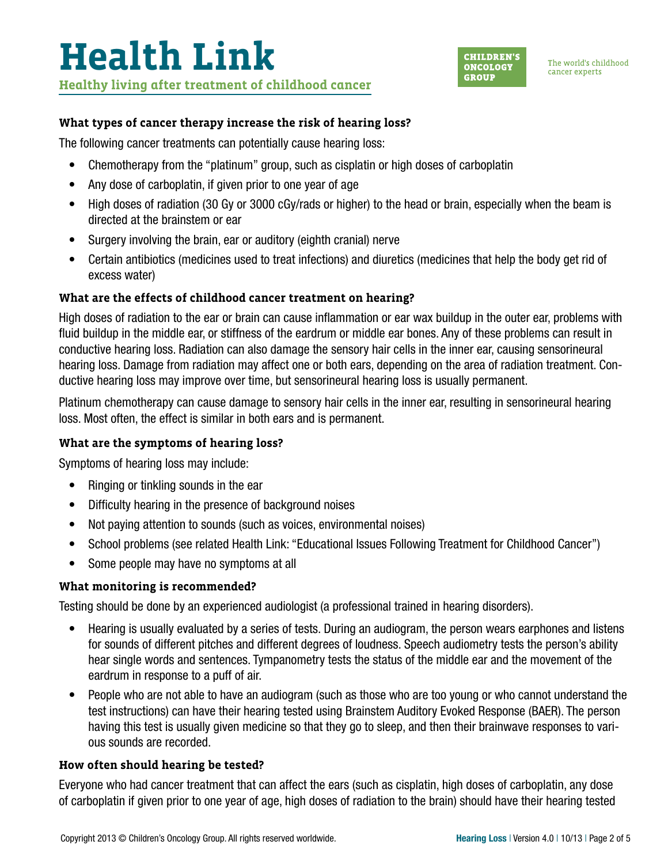

#### **What types of cancer therapy increase the risk of hearing loss?**

The following cancer treatments can potentially cause hearing loss:

- Chemotherapy from the "platinum" group, such as cisplatin or high doses of carboplatin
- Any dose of carboplatin, if given prior to one year of age
- High doses of radiation (30 Gy or 3000 cGy/rads or higher) to the head or brain, especially when the beam is directed at the brainstem or ear
- Surgery involving the brain, ear or auditory (eighth cranial) nerve
- Certain antibiotics (medicines used to treat infections) and diuretics (medicines that help the body get rid of excess water)

#### **What are the effects of childhood cancer treatment on hearing?**

High doses of radiation to the ear or brain can cause inflammation or ear wax buildup in the outer ear, problems with fluid buildup in the middle ear, or stiffness of the eardrum or middle ear bones. Any of these problems can result in conductive hearing loss. Radiation can also damage the sensory hair cells in the inner ear, causing sensorineural hearing loss. Damage from radiation may affect one or both ears, depending on the area of radiation treatment. Conductive hearing loss may improve over time, but sensorineural hearing loss is usually permanent.

Platinum chemotherapy can cause damage to sensory hair cells in the inner ear, resulting in sensorineural hearing loss. Most often, the effect is similar in both ears and is permanent.

#### **What are the symptoms of hearing loss?**

Symptoms of hearing loss may include:

- Ringing or tinkling sounds in the ear
- Difficulty hearing in the presence of background noises
- Not paying attention to sounds (such as voices, environmental noises)
- School problems (see related Health Link: "Educational Issues Following Treatment for Childhood Cancer")
- Some people may have no symptoms at all

#### **What monitoring is recommended?**

Testing should be done by an experienced audiologist (a professional trained in hearing disorders).

- Hearing is usually evaluated by a series of tests. During an audiogram, the person wears earphones and listens for sounds of different pitches and different degrees of loudness. Speech audiometry tests the person's ability hear single words and sentences. Tympanometry tests the status of the middle ear and the movement of the eardrum in response to a puff of air.
- People who are not able to have an audiogram (such as those who are too young or who cannot understand the test instructions) can have their hearing tested using Brainstem Auditory Evoked Response (BAER). The person having this test is usually given medicine so that they go to sleep, and then their brainwave responses to various sounds are recorded.

#### **How often should hearing be tested?**

Everyone who had cancer treatment that can affect the ears (such as cisplatin, high doses of carboplatin, any dose of carboplatin if given prior to one year of age, high doses of radiation to the brain) should have their hearing tested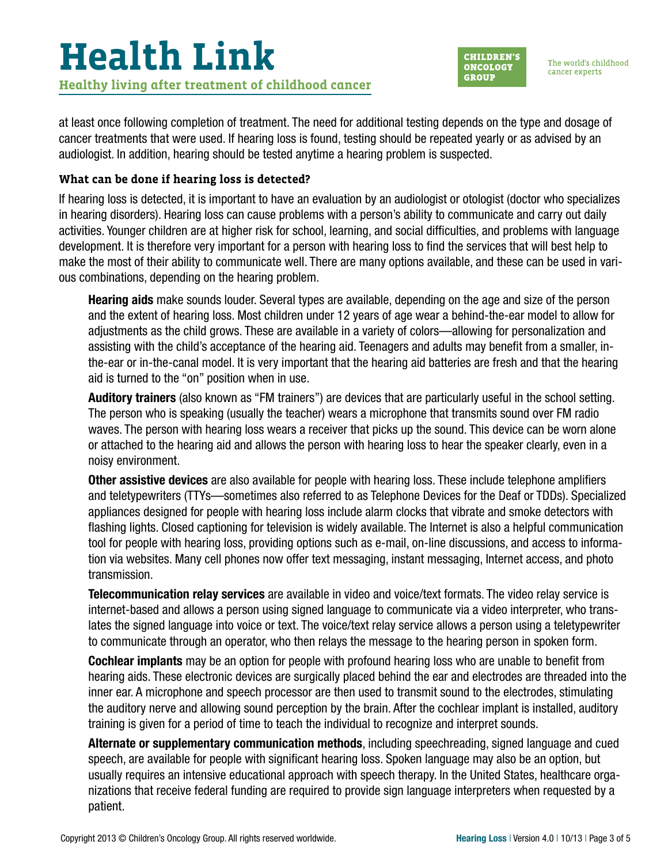# **Health Link Healthy living after treatment of childhood cancer**

**CHILDREN'S ONCOLOGY GROUP** 

The world's childhood cancer experts

at least once following completion of treatment. The need for additional testing depends on the type and dosage of cancer treatments that were used. If hearing loss is found, testing should be repeated yearly or as advised by an audiologist. In addition, hearing should be tested anytime a hearing problem is suspected.

### **What can be done if hearing loss is detected?**

If hearing loss is detected, it is important to have an evaluation by an audiologist or otologist (doctor who specializes in hearing disorders). Hearing loss can cause problems with a person's ability to communicate and carry out daily activities. Younger children are at higher risk for school, learning, and social difficulties, and problems with language development. It is therefore very important for a person with hearing loss to find the services that will best help to make the most of their ability to communicate well. There are many options available, and these can be used in various combinations, depending on the hearing problem.

Hearing aids make sounds louder. Several types are available, depending on the age and size of the person and the extent of hearing loss. Most children under 12 years of age wear a behind-the-ear model to allow for adjustments as the child grows. These are available in a variety of colors—allowing for personalization and assisting with the child's acceptance of the hearing aid. Teenagers and adults may benefit from a smaller, inthe-ear or in-the-canal model. It is very important that the hearing aid batteries are fresh and that the hearing aid is turned to the "on" position when in use.

Auditory trainers (also known as "FM trainers") are devices that are particularly useful in the school setting. The person who is speaking (usually the teacher) wears a microphone that transmits sound over FM radio waves. The person with hearing loss wears a receiver that picks up the sound. This device can be worn alone or attached to the hearing aid and allows the person with hearing loss to hear the speaker clearly, even in a noisy environment.

**Other assistive devices** are also available for people with hearing loss. These include telephone amplifiers and teletypewriters (TTYs—sometimes also referred to as Telephone Devices for the Deaf or TDDs). Specialized appliances designed for people with hearing loss include alarm clocks that vibrate and smoke detectors with flashing lights. Closed captioning for television is widely available. The Internet is also a helpful communication tool for people with hearing loss, providing options such as e-mail, on-line discussions, and access to information via websites. Many cell phones now offer text messaging, instant messaging, Internet access, and photo transmission.

Telecommunication relay services are available in video and voice/text formats. The video relay service is internet-based and allows a person using signed language to communicate via a video interpreter, who translates the signed language into voice or text. The voice/text relay service allows a person using a teletypewriter to communicate through an operator, who then relays the message to the hearing person in spoken form.

Cochlear implants may be an option for people with profound hearing loss who are unable to benefit from hearing aids. These electronic devices are surgically placed behind the ear and electrodes are threaded into the inner ear. A microphone and speech processor are then used to transmit sound to the electrodes, stimulating the auditory nerve and allowing sound perception by the brain. After the cochlear implant is installed, auditory training is given for a period of time to teach the individual to recognize and interpret sounds.

Alternate or supplementary communication methods, including speechreading, signed language and cued speech, are available for people with significant hearing loss. Spoken language may also be an option, but usually requires an intensive educational approach with speech therapy. In the United States, healthcare organizations that receive federal funding are required to provide sign language interpreters when requested by a patient.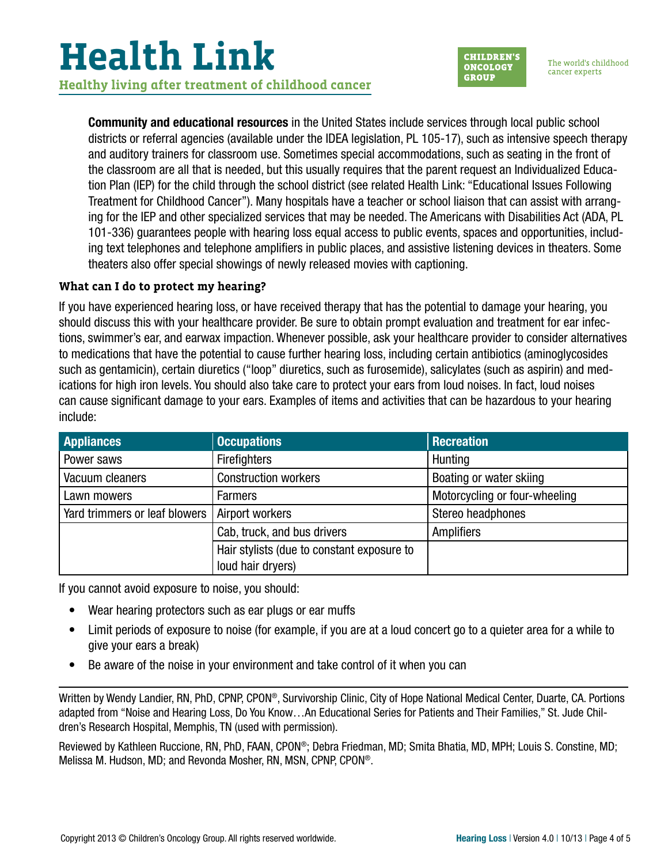## **Health Link Healthy living after treatment of childhood cancer**



Community and educational resources in the United States include services through local public school districts or referral agencies (available under the IDEA legislation, PL 105-17), such as intensive speech therapy and auditory trainers for classroom use. Sometimes special accommodations, such as seating in the front of the classroom are all that is needed, but this usually requires that the parent request an Individualized Education Plan (IEP) for the child through the school district (see related Health Link: "Educational Issues Following Treatment for Childhood Cancer"). Many hospitals have a teacher or school liaison that can assist with arranging for the IEP and other specialized services that may be needed. The Americans with Disabilities Act (ADA, PL 101-336) guarantees people with hearing loss equal access to public events, spaces and opportunities, including text telephones and telephone amplifiers in public places, and assistive listening devices in theaters. Some theaters also offer special showings of newly released movies with captioning.

#### **What can I do to protect my hearing?**

If you have experienced hearing loss, or have received therapy that has the potential to damage your hearing, you should discuss this with your healthcare provider. Be sure to obtain prompt evaluation and treatment for ear infections, swimmer's ear, and earwax impaction. Whenever possible, ask your healthcare provider to consider alternatives to medications that have the potential to cause further hearing loss, including certain antibiotics (aminoglycosides such as gentamicin), certain diuretics ("loop" diuretics, such as furosemide), salicylates (such as aspirin) and medications for high iron levels. You should also take care to protect your ears from loud noises. In fact, loud noises can cause significant damage to your ears. Examples of items and activities that can be hazardous to your hearing include:

| <b>Appliances</b>             | <b>Occupations</b>                         | <b>Recreation</b>             |
|-------------------------------|--------------------------------------------|-------------------------------|
| Power saws                    | <b>Firefighters</b>                        | Hunting                       |
| Vacuum cleaners               | <b>Construction workers</b>                | Boating or water skiing       |
| Lawn mowers                   | <b>Farmers</b>                             | Motorcycling or four-wheeling |
| Yard trimmers or leaf blowers | Airport workers                            | Stereo headphones             |
|                               | Cab, truck, and bus drivers                | <b>Amplifiers</b>             |
|                               | Hair stylists (due to constant exposure to |                               |
|                               | loud hair dryers)                          |                               |

If you cannot avoid exposure to noise, you should:

- Wear hearing protectors such as ear plugs or ear muffs
- Limit periods of exposure to noise (for example, if you are at a loud concert go to a quieter area for a while to give your ears a break)
- Be aware of the noise in your environment and take control of it when you can

Written by Wendy Landier, RN, PhD, CPNP, CPON®, Survivorship Clinic, City of Hope National Medical Center, Duarte, CA. Portions adapted from "Noise and Hearing Loss, Do You Know…An Educational Series for Patients and Their Families," St. Jude Children's Research Hospital, Memphis, TN (used with permission).

Reviewed by Kathleen Ruccione, RN, PhD, FAAN, CPON®; Debra Friedman, MD; Smita Bhatia, MD, MPH; Louis S. Constine, MD; Melissa M. Hudson, MD; and Revonda Mosher, RN, MSN, CPNP, CPON®.